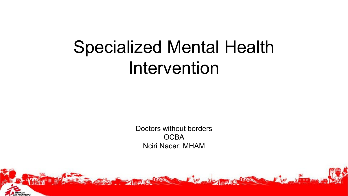# **Specialized Mental Health** Intervention

Doctors without borders **OCBA Nciri Nacer: MHAM** 

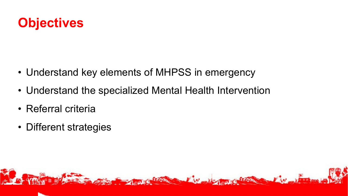

- Understand key elements of MHPSS in emergency
- Understand the specialized Mental Health Intervention
- Referral criteria
- Different strategies

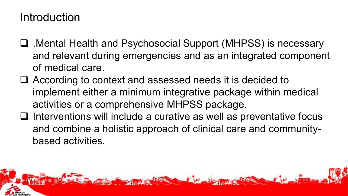## Introduction

- .Mental Health and Psychosocial Support (MHPSS) is necessary and relevant during emergencies and as an integrated component of medical care.
- According to context and assessed needs it is decided to implement either a minimum integrative package within medical activities or a comprehensive MHPSS package.
- $\Box$  Interventions will include a curative as well as preventative focus and combine a holistic approach of clinical care and communitybased activities.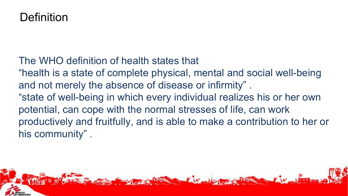## **Definition**

- The WHO definition of health states that
- "health is a state of complete physical, mental and social well-being and not merely the absence of disease or infirmity" .
- "state of well-being in which every individual realizes his or her own potential, can cope with the normal stresses of life, can work productively and fruitfully, and is able to make a contribution to her or his community" .

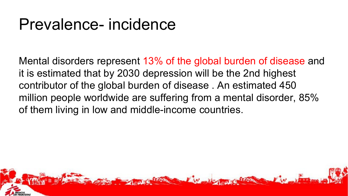# Prevalence- incidence

Mental disorders represent 13% of the global burden of disease and it is estimated that by 2030 depression will be the 2nd highest contributor of the global burden of disease . An estimated 450 million people worldwide are suffering from a mental disorder, 85% of them living in low and middle-income countries.

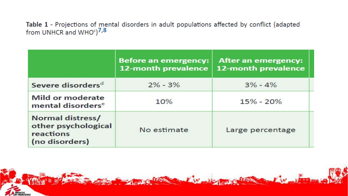Table 1 - Projections of mental disorders in adult populations affected by conflict (adapted from UNHCR and WHO $^{\circ}$ ) $^{7,8}$ 

|                                                                               | <b>Before an emergency:</b><br>12-month prevalence | After an emergency:<br>12-month prevalence |
|-------------------------------------------------------------------------------|----------------------------------------------------|--------------------------------------------|
| Severe disorders <sup>d</sup>                                                 | $2\% - 3\%$                                        | $3\% - 4\%$                                |
| <b>Mild or moderate</b><br>mental disorders <sup>e</sup>                      | 10%                                                | $15\% - 20\%$                              |
| <b>Normal distress/</b><br>other psychological<br>reactions<br>(no disorders) | No estimate                                        | Large percentage                           |

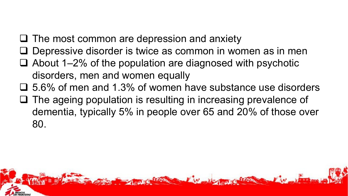- $\Box$  The most common are depression and anxiety
- Depressive disorder is twice as common in women as in men
- $\Box$  About 1–2% of the population are diagnosed with psychotic disorders, men and women equally
- $\Box$  5.6% of men and 1.3% of women have substance use disorders
- $\Box$  The ageing population is resulting in increasing prevalence of dementia, typically 5% in people over 65 and 20% of those over 80.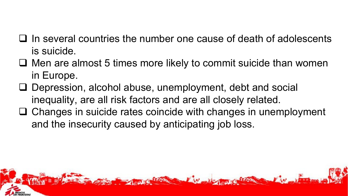- $\Box$  In several countries the number one cause of death of adolescents is suicide.
- $\Box$  Men are almost 5 times more likely to commit suicide than women in Europe.
- Depression, alcohol abuse, unemployment, debt and social inequality, are all risk factors and are all closely related.
- $\Box$  Changes in suicide rates coincide with changes in unemployment and the insecurity caused by anticipating job loss.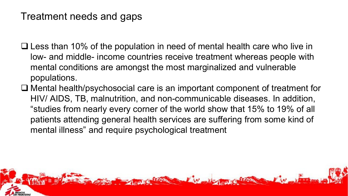### Treatment needs and gaps

- $\Box$  Less than 10% of the population in need of mental health care who live in low- and middle- income countries receive treatment whereas people with mental conditions are amongst the most marginalized and vulnerable populations.
- □ Mental health/psychosocial care is an important component of treatment for HIV/ AIDS, TB, malnutrition, and non-communicable diseases. In addition, "studies from nearly every corner of the world show that 15% to 19% of all patients attending general health services are suffering from some kind of mental illness" and require psychological treatment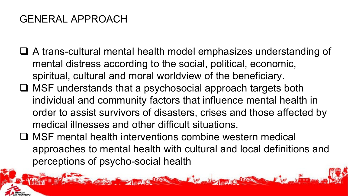## GENERAL APPROACH

- A trans-cultural mental health model emphasizes understanding of mental distress according to the social, political, economic, spiritual, cultural and moral worldview of the beneficiary.
- $\Box$  MSF understands that a psychosocial approach targets both individual and community factors that influence mental health in order to assist survivors of disasters, crises and those affected by medical illnesses and other difficult situations.
- MSF mental health interventions combine western medical approaches to mental health with cultural and local definitions and perceptions of psycho-social health

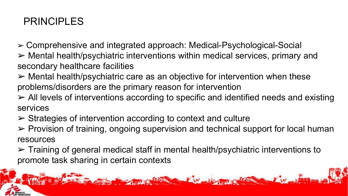## PRINCIPLES

- ➢ Comprehensive and integrated approach: Medical-Psychological-Social
- ➢ Mental health/psychiatric interventions within medical services, primary and secondary healthcare facilities
- $\triangleright$  Mental health/psychiatric care as an objective for intervention when these problems/disorders are the primary reason for intervention
- ➢ All levels of interventions according to specific and identified needs and existing services
- $\triangleright$  Strategies of intervention according to context and culture
- ➢ Provision of training, ongoing supervision and technical support for local human resources
- ➢ Training of general medical staff in mental health/psychiatric interventions to promote task sharing in certain contexts

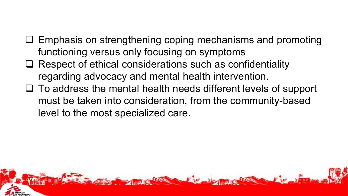- $\square$  Emphasis on strengthening coping mechanisms and promoting functioning versus only focusing on symptoms
- $\Box$  Respect of ethical considerations such as confidentiality regarding advocacy and mental health intervention.
- $\Box$  To address the mental health needs different levels of support must be taken into consideration, from the community-based level to the most specialized care.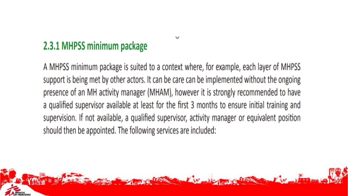## 2.3.1 MHPSS minimum package

A MHPSS minimum package is suited to a context where, for example, each layer of MHPSS support is being met by other actors. It can be care can be implemented without the ongoing presence of an MH activity manager (MHAM), however it is strongly recommended to have a qualified supervisor available at least for the first 3 months to ensure initial training and supervision. If not available, a qualified supervisor, activity manager or equivalent position should then be appointed. The following services are included:

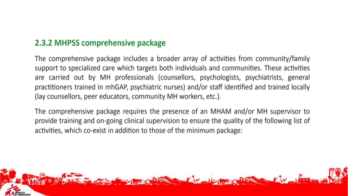### 2.3.2 MHPSS comprehensive package

The comprehensive package includes a broader array of activities from community/family support to specialized care which targets both individuals and communities. These activities are carried out by MH professionals (counsellors, psychologists, psychiatrists, general practitioners trained in mhGAP, psychiatric nurses) and/or staff identified and trained locally (lay counsellors, peer educators, community MH workers, etc.).

The comprehensive package requires the presence of an MHAM and/or MH supervisor to provide training and on-going clinical supervision to ensure the quality of the following list of activities, which co-exist in addition to those of the minimum package:

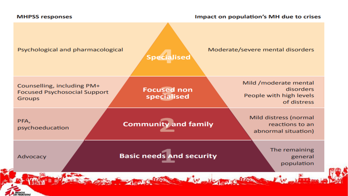#### **MHPSS responses**

#### Impact on population's MH due to crises

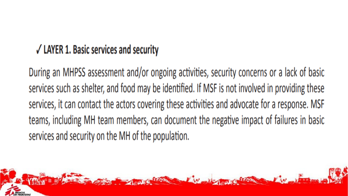## $\sqrt{}$  LAYER 1. Basic services and security

During an MHPSS assessment and/or ongoing activities, security concerns or a lack of basic services such as shelter, and food may be identified. If MSF is not involved in providing these services, it can contact the actors covering these activities and advocate for a response. MSF teams, including MH team members, can document the negative impact of failures in basic services and security on the MH of the population.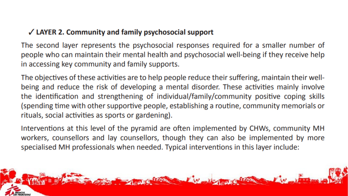### $\checkmark$  LAYER 2. Community and family psychosocial support

The second layer represents the psychosocial responses required for a smaller number of people who can maintain their mental health and psychosocial well-being if they receive help in accessing key community and family supports.

The objectives of these activities are to help people reduce their suffering, maintain their wellbeing and reduce the risk of developing a mental disorder. These activities mainly involve the identification and strengthening of individual/family/community positive coping skills (spending time with other supportive people, establishing a routine, community memorials or rituals, social activities as sports or gardening).

Interventions at this level of the pyramid are often implemented by CHWs, community MH workers, counsellors and lay counsellors, though they can also be implemented by more specialised MH professionals when needed. Typical interventions in this layer include:

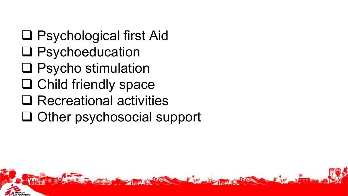- □ Psychological first Aid
- □ Psychoeducation
- □ Psycho stimulation
- □ Child friendly space
- □ Recreational activities
- $\Box$  Other psychosocial support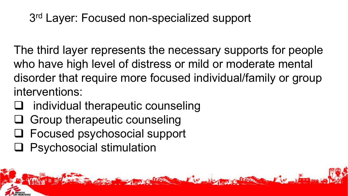## 3rd Layer: Focused non-specialized support

The third layer represents the necessary supports for people who have high level of distress or mild or moderate mental disorder that require more focused individual/family or group interventions:

- individual therapeutic counseling
- Group therapeutic counseling
- Focused psychosocial support
- **Q** Psychosocial stimulation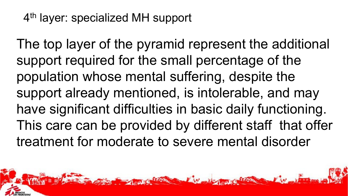## 4th layer: specialized MH support

The top layer of the pyramid represent the additional support required for the small percentage of the population whose mental suffering, despite the support already mentioned, is intolerable, and may have significant difficulties in basic daily functioning. This care can be provided by different staff that offer treatment for moderate to severe mental disorder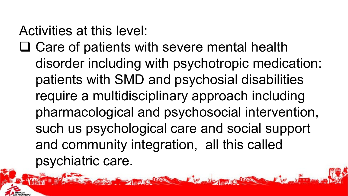## Activities at this level:

 $\Box$  Care of patients with severe mental health disorder including with psychotropic medication: patients with SMD and psychosial disabilities require a multidisciplinary approach including pharmacological and psychosocial intervention, such us psychological care and social support and community integration, all this called psychiatric care.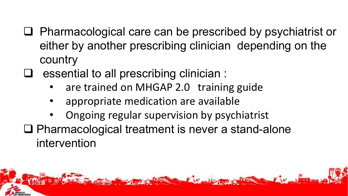- $\Box$  Pharmacological care can be prescribed by psychiatrist or either by another prescribing clinician depending on the country
- essential to all prescribing clinician :
	- are trained on MHGAP 2.0 training guide
	- appropriate medication are available
	- Ongoing regular supervision by psychiatrist
- $\Box$  Pharmacological treatment is never a stand-alone intervention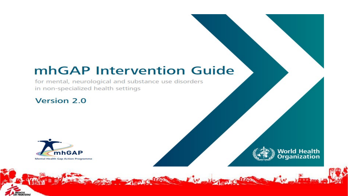## mhGAP Intervention Guide

for mental, neurological and substance use disorders in non-specialized health settings

### **Version 2.0**



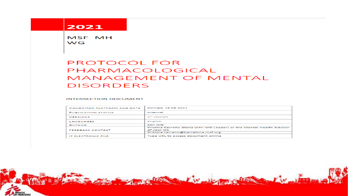#### 2021

MSF MH **WG** 

### **PROTOCOL FOR** PHARMACOLOGICAL MANAGEMENT OF MENTAL **DISORDERS**

#### **INTERSECTION DOCUMENT**

| VALIDATION PLATFORM AND DATE. | Dirmed, 15,03,2021                                                                                                      |  |
|-------------------------------|-------------------------------------------------------------------------------------------------------------------------|--|
| PUBLICATION STATUS            | Internal                                                                                                                |  |
| <b><i>VERSIONS</i></b>        | 1er vezsion                                                                                                             |  |
| LANGUAGES                     | English                                                                                                                 |  |
| <b>AUTHOR</b>                 | IMPROVE                                                                                                                 |  |
| <b>FEEDBACK CONTACT</b>       | Cristina Carreño Glaría (MH WG Leader) or the Mental Health Advisor<br>of your OC<br>Cristina.carreno@barcelona.msf.org |  |
| <b>IF ELECTRONIC FILE</b>     | Type URL to access document online                                                                                      |  |
|                               |                                                                                                                         |  |

**Carl Command** 

 $\mathcal{L}(\mathbf{v})$ 

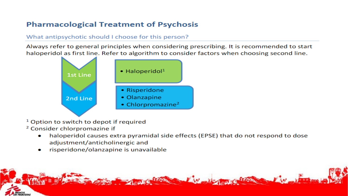### **Pharmacological Treatment of Psychosis**

#### What antipsychotic should I choose for this person?

Always refer to general principles when considering prescribing. It is recommended to start haloperidol as first line. Refer to algorithm to consider factors when choosing second line.



- <sup>1</sup> Option to switch to depot if required
- <sup>2</sup> Consider chlorpromazine if
	- haloperidol causes extra pyramidal side effects (EPSE) that do not respond to dose  $\bullet$ adjustment/anticholinergic and
	- risperidone/olanzapine is unavailable

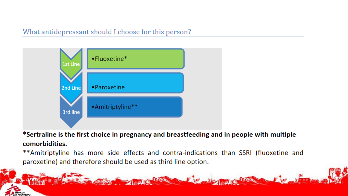### What antidepressant should I choose for this person?



\*Sertraline is the first choice in pregnancy and breastfeeding and in people with multiple comorbidities.

\*\*Amitriptyline has more side effects and contra-indications than SSRI (fluoxetine and paroxetine) and therefore should be used as third line option.

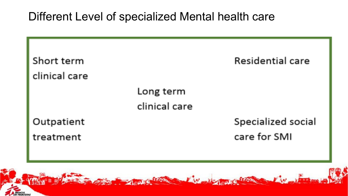## Different Level of specialized Mental health care

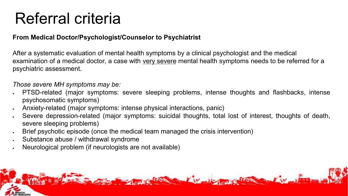# Referral criteria

### **From Medical Doctor/Psychologist/Counselor to Psychiatrist**

After a systematic evaluation of mental health symptoms by a clinical psychologist and the medical examination of a medical doctor, a case with very severe mental health symptoms needs to be referred for a psychiatric assessment.

*Those severe MH symptoms may be:*

- PTSD-related (major symptoms: severe sleeping problems, intense thoughts and flashbacks, intense psychosomatic symptoms)
- Anxiety-related (major symptoms: intense physical interactions, panic)
- Severe depression-related (major symptoms: suicidal thoughts, total lost of interest, thoughts of death, severe sleeping problems)
- Brief psychotic episode (once the medical team managed the crisis intervention)
- Substance abuse / withdrawal syndrome
- Neurological problem (if neurologists are not available)